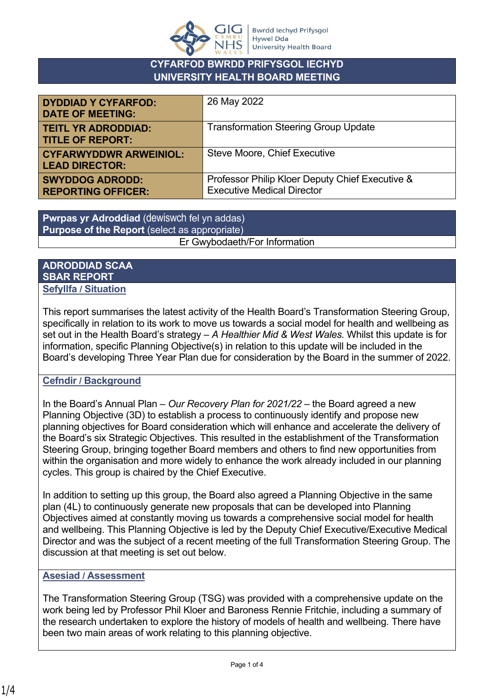

# **CYFARFOD BWRDD PRIFYSGOL IECHYD UNIVERSITY HEALTH BOARD MEETING**

| <b>DYDDIAD Y CYFARFOD:</b><br><b>DATE OF MEETING:</b>  | 26 May 2022                                                                          |
|--------------------------------------------------------|--------------------------------------------------------------------------------------|
| <b>TEITL YR ADRODDIAD:</b><br><b>TITLE OF REPORT:</b>  | <b>Transformation Steering Group Update</b>                                          |
| <b>CYFARWYDDWR ARWEINIOL:</b><br><b>LEAD DIRECTOR:</b> | <b>Steve Moore, Chief Executive</b>                                                  |
| <b>SWYDDOG ADRODD:</b><br><b>REPORTING OFFICER:</b>    | Professor Philip Kloer Deputy Chief Executive &<br><b>Executive Medical Director</b> |

**Pwrpas yr Adroddiad** (dewiswch fel yn addas) **Purpose of the Report** (select as appropriate) Er Gwybodaeth/For Information

### **ADRODDIAD SCAA SBAR REPORT Sefyllfa / Situation**

This report summarises the latest activity of the Health Board's Transformation Steering Group, specifically in relation to its work to move us towards a social model for health and wellbeing as set out in the Health Board's strategy – *A Healthier Mid & West Wales.* Whilst this update is for information, specific Planning Objective(s) in relation to this update will be included in the Board's developing Three Year Plan due for consideration by the Board in the summer of 2022.

# **Cefndir / Background**

In the Board's Annual Plan – *Our Recovery Plan for 2021/22* – the Board agreed a new Planning Objective (3D) to establish a process to continuously identify and propose new planning objectives for Board consideration which will enhance and accelerate the delivery of the Board's six Strategic Objectives. This resulted in the establishment of the Transformation Steering Group, bringing together Board members and others to find new opportunities from within the organisation and more widely to enhance the work already included in our planning cycles. This group is chaired by the Chief Executive.

In addition to setting up this group, the Board also agreed a Planning Objective in the same plan (4L) to continuously generate new proposals that can be developed into Planning Objectives aimed at constantly moving us towards a comprehensive social model for health and wellbeing. This Planning Objective is led by the Deputy Chief Executive/Executive Medical Director and was the subject of a recent meeting of the full Transformation Steering Group. The discussion at that meeting is set out below.

# **Asesiad / Assessment**

The Transformation Steering Group (TSG) was provided with a comprehensive update on the work being led by Professor Phil Kloer and Baroness Rennie Fritchie, including a summary of the research undertaken to explore the history of models of health and wellbeing. There have been two main areas of work relating to this planning objective.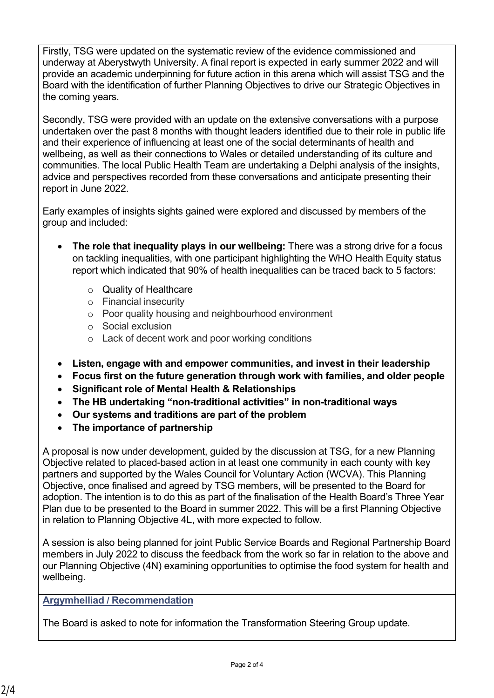Firstly, TSG were updated on the systematic review of the evidence commissioned and underway at Aberystwyth University. A final report is expected in early summer 2022 and will provide an academic underpinning for future action in this arena which will assist TSG and the Board with the identification of further Planning Objectives to drive our Strategic Objectives in the coming years.

Secondly, TSG were provided with an update on the extensive conversations with a purpose undertaken over the past 8 months with thought leaders identified due to their role in public life and their experience of influencing at least one of the social determinants of health and wellbeing, as well as their connections to Wales or detailed understanding of its culture and communities. The local Public Health Team are undertaking a Delphi analysis of the insights, advice and perspectives recorded from these conversations and anticipate presenting their report in June 2022.

Early examples of insights sights gained were explored and discussed by members of the group and included:

- **The role that inequality plays in our wellbeing:** There was a strong drive for a focus on tackling inequalities, with one participant highlighting the WHO Health Equity status report which indicated that 90% of health inequalities can be traced back to 5 factors:
	- o Quality of Healthcare
	- o Financial insecurity
	- o Poor quality housing and neighbourhood environment
	- o Social exclusion
	- o Lack of decent work and poor working conditions
- **Listen, engage with and empower communities, and invest in their leadership**
- **Focus first on the future generation through work with families, and older people**
- **Significant role of Mental Health & Relationships**
- **The HB undertaking "non-traditional activities" in non-traditional ways**
- **Our systems and traditions are part of the problem**
- **The importance of partnership**

A proposal is now under development, guided by the discussion at TSG, for a new Planning Objective related to placed-based action in at least one community in each county with key partners and supported by the Wales Council for Voluntary Action (WCVA). This Planning Objective, once finalised and agreed by TSG members, will be presented to the Board for adoption. The intention is to do this as part of the finalisation of the Health Board's Three Year Plan due to be presented to the Board in summer 2022. This will be a first Planning Objective in relation to Planning Objective 4L, with more expected to follow.

A session is also being planned for joint Public Service Boards and Regional Partnership Board members in July 2022 to discuss the feedback from the work so far in relation to the above and our Planning Objective (4N) examining opportunities to optimise the food system for health and wellbeing.

# **Argymhelliad / Recommendation**

The Board is asked to note for information the Transformation Steering Group update.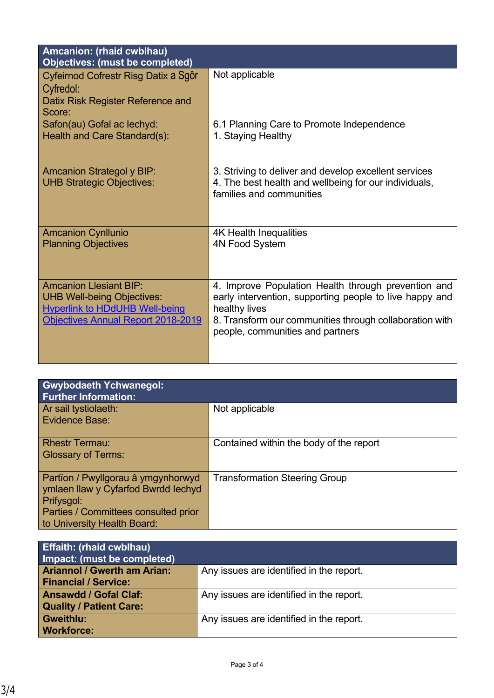| Amcanion: (rhaid cwblhau)<br><b>Objectives: (must be completed)</b>                                                                               |                                                                                                                                                                                                                                |
|---------------------------------------------------------------------------------------------------------------------------------------------------|--------------------------------------------------------------------------------------------------------------------------------------------------------------------------------------------------------------------------------|
| Cyfeirnod Cofrestr Risg Datix a Sgôr<br>Cyfredol:<br>Datix Risk Register Reference and<br>Score:                                                  | Not applicable                                                                                                                                                                                                                 |
| Safon(au) Gofal ac lechyd:<br>Health and Care Standard(s):                                                                                        | 6.1 Planning Care to Promote Independence<br>1. Staying Healthy                                                                                                                                                                |
| <b>Amcanion Strategol y BIP:</b><br><b>UHB Strategic Objectives:</b>                                                                              | 3. Striving to deliver and develop excellent services<br>4. The best health and wellbeing for our individuals,<br>families and communities                                                                                     |
| <b>Amcanion Cynllunio</b><br><b>Planning Objectives</b>                                                                                           | <b>4K Health Inequalities</b><br>4N Food System                                                                                                                                                                                |
| <b>Amcanion Llesiant BIP:</b><br><b>UHB Well-being Objectives:</b><br><b>Hyperlink to HDdUHB Well-being</b><br>Objectives Annual Report 2018-2019 | 4. Improve Population Health through prevention and<br>early intervention, supporting people to live happy and<br>healthy lives<br>8. Transform our communities through collaboration with<br>people, communities and partners |

| <b>Gwybodaeth Ychwanegol:</b><br><b>Further Information:</b>                                                                                                   |                                         |
|----------------------------------------------------------------------------------------------------------------------------------------------------------------|-----------------------------------------|
| Ar sail tystiolaeth:<br><b>Evidence Base:</b>                                                                                                                  | Not applicable                          |
| <b>Rhestr Termau:</b><br><b>Glossary of Terms:</b>                                                                                                             | Contained within the body of the report |
| Partïon / Pwyllgorau â ymgynhorwyd<br>ymlaen llaw y Cyfarfod Bwrdd Iechyd<br>Prifysgol:<br>Parties / Committees consulted prior<br>to University Health Board: | <b>Transformation Steering Group</b>    |

| <b>Effaith: (rhaid cwblhau)</b><br>Impact: (must be completed)    |                                          |
|-------------------------------------------------------------------|------------------------------------------|
| <b>Ariannol / Gwerth am Arian:</b><br><b>Financial / Service:</b> | Any issues are identified in the report. |
| <b>Ansawdd / Gofal Claf:</b><br><b>Quality / Patient Care:</b>    | Any issues are identified in the report. |
| <b>Gweithlu:</b><br><b>Workforce:</b>                             | Any issues are identified in the report. |